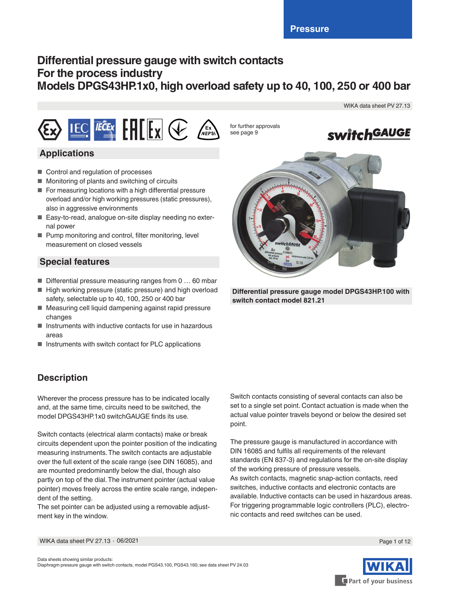# **Differential pressure gauge with switch contacts For the process industry Models DPGS43HP.1x0, high overload safety up to 40, 100, 250 or 400 bar**



## **Applications**

- Control and regulation of processes
- Monitoring of plants and switching of circuits
- For measuring locations with a high differential pressure overload and/or high working pressures (static pressures), also in aggressive environments
- Easy-to-read, analogue on-site display needing no external power
- Pump monitoring and control, filter monitoring, level measurement on closed vessels

# **Special features**

- $\blacksquare$  Differential pressure measuring ranges from 0 ... 60 mbar
- High working pressure (static pressure) and high overload safety, selectable up to 40, 100, 250 or 400 bar
- Measuring cell liquid dampening against rapid pressure changes
- Instruments with inductive contacts for use in hazardous areas
- Instruments with switch contact for PLC applications

# **Description**

Wherever the process pressure has to be indicated locally and, at the same time, circuits need to be switched, the model DPGS43HP.1x0 switchGAUGE finds its use.

Switch contacts (electrical alarm contacts) make or break circuits dependent upon the pointer position of the indicating measuring instruments. The switch contacts are adjustable over the full extent of the scale range (see DIN 16085), and are mounted predominantly below the dial, though also partly on top of the dial. The instrument pointer (actual value pointer) moves freely across the entire scale range, independent of the setting.

The set pointer can be adjusted using a removable adjustment key in the window.

Switch contacts consisting of several contacts can also be set to a single set point. Contact actuation is made when the actual value pointer travels beyond or below the desired set point.

The pressure gauge is manufactured in accordance with DIN 16085 and fulfils all requirements of the relevant standards (EN 837-3) and regulations for the on-site display of the working pressure of pressure vessels. As switch contacts, magnetic snap-action contacts, reed switches, inductive contacts and electronic contacts are available. Inductive contacts can be used in hazardous areas. For triggering programmable logic controllers (PLC), electronic contacts and reed switches can be used.

for further approvals

see page 9



WIKA data sheet PV 27.13



**Differential pressure gauge model DPGS43HP.100 with switch contact model 821.21**

WIKA data sheet PV 27.13 ∙ 06/2021



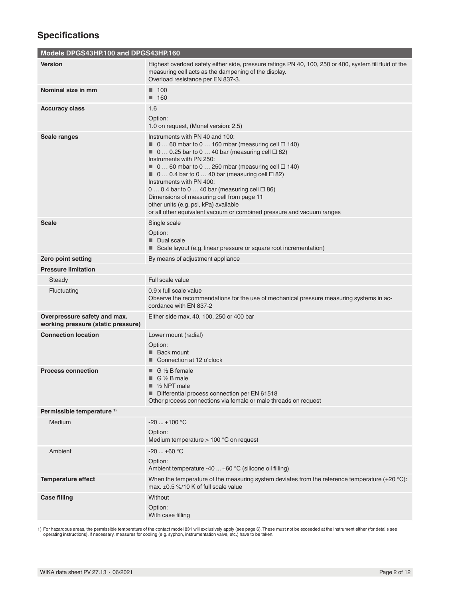# **Specifications**

| Models DPGS43HP.100 and DPGS43HP.160                               |                                                                                                                                                                                                                                                                                                                                                                                                                                                                                                                                                                                                                |
|--------------------------------------------------------------------|----------------------------------------------------------------------------------------------------------------------------------------------------------------------------------------------------------------------------------------------------------------------------------------------------------------------------------------------------------------------------------------------------------------------------------------------------------------------------------------------------------------------------------------------------------------------------------------------------------------|
| Version                                                            | Highest overload safety either side, pressure ratings PN 40, 100, 250 or 400, system fill fluid of the<br>measuring cell acts as the dampening of the display.<br>Overload resistance per EN 837-3.                                                                                                                                                                                                                                                                                                                                                                                                            |
| Nominal size in mm                                                 | $\blacksquare$ 100<br>$\blacksquare$ 160                                                                                                                                                                                                                                                                                                                                                                                                                                                                                                                                                                       |
| <b>Accuracy class</b>                                              | 1.6<br>Option:<br>1.0 on request, (Monel version: 2.5)                                                                                                                                                                                                                                                                                                                                                                                                                                                                                                                                                         |
| <b>Scale ranges</b>                                                | Instruments with PN 40 and 100:<br>$\blacksquare$ 0 60 mbar to 0 160 mbar (measuring cell $\square$ 140)<br>$\blacksquare$ 0  0.25 bar to 0  40 bar (measuring cell $\Box$ 82)<br>Instruments with PN 250:<br>$\blacksquare$ 0  60 mbar to 0  250 mbar (measuring cell $\square$ 140)<br>$\blacksquare$ 0  0.4 bar to 0  40 bar (measuring cell $\Box$ 82)<br>Instruments with PN 400:<br>$0 0.4$ bar to $0 40$ bar (measuring cell $\Box 86$ )<br>Dimensions of measuring cell from page 11<br>other units (e.g. psi, kPa) available<br>or all other equivalent vacuum or combined pressure and vacuum ranges |
| <b>Scale</b>                                                       | Single scale<br>Option:<br>Dual scale<br>Scale layout (e.g. linear pressure or square root incrementation)                                                                                                                                                                                                                                                                                                                                                                                                                                                                                                     |
| Zero point setting                                                 | By means of adjustment appliance                                                                                                                                                                                                                                                                                                                                                                                                                                                                                                                                                                               |
| <b>Pressure limitation</b>                                         |                                                                                                                                                                                                                                                                                                                                                                                                                                                                                                                                                                                                                |
| Steady                                                             | Full scale value                                                                                                                                                                                                                                                                                                                                                                                                                                                                                                                                                                                               |
| Fluctuating                                                        | 0.9 x full scale value<br>Observe the recommendations for the use of mechanical pressure measuring systems in ac-<br>cordance with EN 837-2                                                                                                                                                                                                                                                                                                                                                                                                                                                                    |
| Overpressure safety and max.<br>working pressure (static pressure) | Either side max. 40, 100, 250 or 400 bar                                                                                                                                                                                                                                                                                                                                                                                                                                                                                                                                                                       |
| <b>Connection location</b>                                         | Lower mount (radial)<br>Option:<br>■ Back mount<br>■ Connection at 12 o'clock                                                                                                                                                                                                                                                                                                                                                                                                                                                                                                                                  |
| <b>Process connection</b>                                          | $\blacksquare$ G 1/2 B female<br>$\Box$ G 1/2 B male<br>$\blacksquare$ 1/2 NPT male<br>Differential process connection per EN 61518<br>Other process connections via female or male threads on request                                                                                                                                                                                                                                                                                                                                                                                                         |
| Permissible temperature <sup>1)</sup>                              |                                                                                                                                                                                                                                                                                                                                                                                                                                                                                                                                                                                                                |
| Medium                                                             | $-20+100$ °C<br>Option:<br>Medium temperature $> 100$ °C on request                                                                                                                                                                                                                                                                                                                                                                                                                                                                                                                                            |
| Ambient                                                            | $-20+60$ °C<br>Option:<br>Ambient temperature -40  +60 °C (silicone oil filling)                                                                                                                                                                                                                                                                                                                                                                                                                                                                                                                               |
| <b>Temperature effect</b>                                          | When the temperature of the measuring system deviates from the reference temperature $(+20 \degree C)$ :<br>max. $\pm$ 0.5 %/10 K of full scale value                                                                                                                                                                                                                                                                                                                                                                                                                                                          |
| <b>Case filling</b>                                                | Without                                                                                                                                                                                                                                                                                                                                                                                                                                                                                                                                                                                                        |

1) For hazardous areas, the permissible temperature of the contact model 831 will exclusively apply (see page 6). These must not be exceeded at the instrument either (for details see<br>operating instructions). If necessary,

Option: With case filling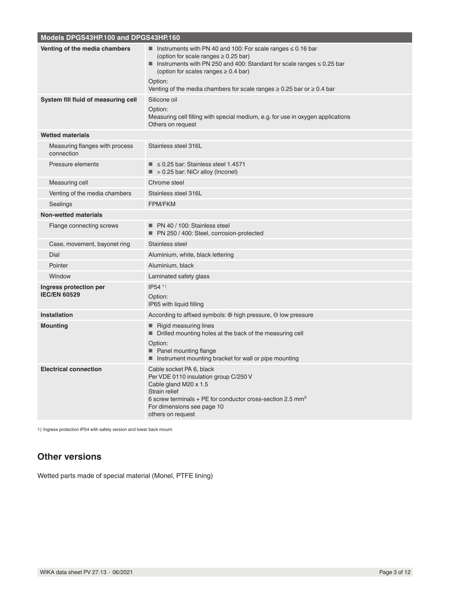| Models DPGS43HP.100 and DPGS43HP.160          |                                                                                                                                                                                                                                                                                                                                         |
|-----------------------------------------------|-----------------------------------------------------------------------------------------------------------------------------------------------------------------------------------------------------------------------------------------------------------------------------------------------------------------------------------------|
| Venting of the media chambers                 | Instruments with PN 40 and 100: For scale ranges $\leq$ 0.16 bar<br>(option for scale ranges $\geq 0.25$ bar)<br>Instruments with PN 250 and 400: Standard for scale ranges $\leq 0.25$ bar<br>(option for scales ranges $\geq 0.4$ bar)<br>Option:<br>Venting of the media chambers for scale ranges $\geq 0.25$ bar or $\geq 0.4$ bar |
| System fill fluid of measuring cell           | Silicone oil<br>Option:<br>Measuring cell filling with special medium, e.g. for use in oxygen applications<br>Others on request                                                                                                                                                                                                         |
| <b>Wetted materials</b>                       |                                                                                                                                                                                                                                                                                                                                         |
| Measuring flanges with process<br>connection  | Stainless steel 316L                                                                                                                                                                                                                                                                                                                    |
| Pressure elements                             | $\leq$ 0.25 bar: Stainless steel 1.4571<br>$\blacksquare$ > 0.25 bar: NiCr alloy (Inconel)                                                                                                                                                                                                                                              |
| Measuring cell                                | Chrome steel                                                                                                                                                                                                                                                                                                                            |
| Venting of the media chambers                 | Stainless steel 316L                                                                                                                                                                                                                                                                                                                    |
| Sealings                                      | <b>FPM/FKM</b>                                                                                                                                                                                                                                                                                                                          |
| <b>Non-wetted materials</b>                   |                                                                                                                                                                                                                                                                                                                                         |
| Flange connecting screws                      | $\blacksquare$ PN 40 / 100: Stainless steel<br>■ PN 250 / 400: Steel, corrosion-protected                                                                                                                                                                                                                                               |
| Case, movement, bayonet ring                  | Stainless steel                                                                                                                                                                                                                                                                                                                         |
| Dial                                          | Aluminium, white, black lettering                                                                                                                                                                                                                                                                                                       |
| Pointer                                       | Aluminium, black                                                                                                                                                                                                                                                                                                                        |
| Window                                        | Laminated safety glass                                                                                                                                                                                                                                                                                                                  |
| Ingress protection per<br><b>IEC/EN 60529</b> | $IP54$ <sup>1)</sup><br>Option:<br>IP65 with liquid filling                                                                                                                                                                                                                                                                             |
| <b>Installation</b>                           | According to affixed symbols: $\oplus$ high pressure, $\ominus$ low pressure                                                                                                                                                                                                                                                            |
| <b>Mounting</b>                               | <b>Rigid measuring lines</b><br>■<br>Drilled mounting holes at the back of the measuring cell<br>ш<br>Option:<br>Panel mounting flange<br>■ Instrument mounting bracket for wall or pipe mounting                                                                                                                                       |
| <b>Electrical connection</b>                  | Cable socket PA 6, black<br>Per VDE 0110 insulation group C/250 V<br>Cable gland M20 x 1.5<br>Strain relief<br>6 screw terminals + PE for conductor cross-section 2.5 mm <sup>2</sup><br>For dimensions see page 10<br>others on request                                                                                                |

1) Ingress protection IP54 with safety version and lower back mount.

# **Other versions**

Wetted parts made of special material (Monel, PTFE lining)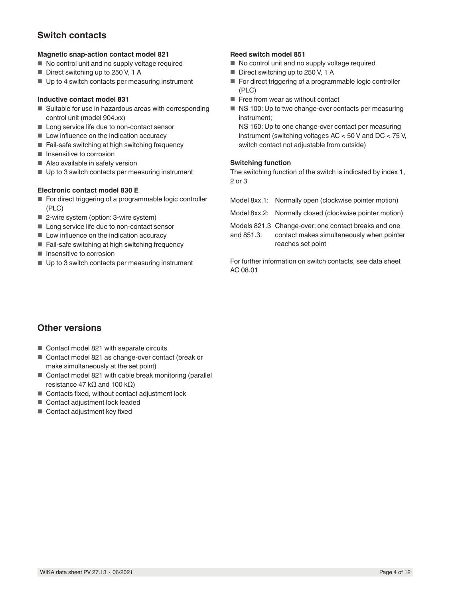# **Switch contacts**

#### **Magnetic snap-action contact model 821**

- No control unit and no supply voltage required
- Direct switching up to 250 V, 1 A
- Up to 4 switch contacts per measuring instrument

#### **Inductive contact model 831**

- Suitable for use in hazardous areas with corresponding control unit (model 904.xx)
- Long service life due to non-contact sensor
- Low influence on the indication accuracy
- Fail-safe switching at high switching frequency
- Insensitive to corrosion
- Also available in safety version
- Up to 3 switch contacts per measuring instrument

#### **Electronic contact model 830 E**

- For direct triggering of a programmable logic controller (PLC)
- 2-wire system (option: 3-wire system)
- Long service life due to non-contact sensor
- Low influence on the indication accuracy
- Fail-safe switching at high switching frequency
- Insensitive to corrosion
- Up to 3 switch contacts per measuring instrument

### **Reed switch model 851**

- No control unit and no supply voltage required
- Direct switching up to 250 V, 1 A
- For direct triggering of a programmable logic controller (PLC)
- Free from wear as without contact
- NS 100: Up to two change-over contacts per measuring instrument;

NS 160: Up to one change-over contact per measuring instrument (switching voltages AC < 50 V and DC < 75 V, switch contact not adjustable from outside)

#### **Switching function**

The switching function of the switch is indicated by index 1, 2 or 3

|            | Model 8xx.1: Normally open (clockwise pointer motion)                                                                  |
|------------|------------------------------------------------------------------------------------------------------------------------|
|            | Model 8xx.2: Normally closed (clockwise pointer motion)                                                                |
| and 851.3: | Models 821.3 Change-over; one contact breaks and one<br>contact makes simultaneously when pointer<br>reaches set point |
|            |                                                                                                                        |

For further information on switch contacts, see data sheet AC 08.01

### **Other versions**

- Contact model 821 with separate circuits
- Contact model 821 as change-over contact (break or make simultaneously at the set point)
- Contact model 821 with cable break monitoring (parallel resistance 47 kΩ and 100 kΩ)
- Contacts fixed, without contact adjustment lock
- Contact adjustment lock leaded
- Contact adjustment key fixed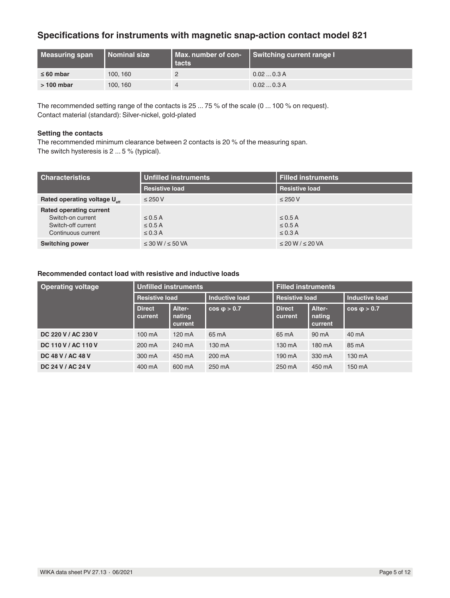## **Specifications for instruments with magnetic snap-action contact model 821**

| Measuring span | I Nominal size | tacts | Max. number of con-   Switching current range I |
|----------------|----------------|-------|-------------------------------------------------|
| $\leq 60$ mbar | 100, 160       |       | 0.020.3 A                                       |
| $>100$ mbar    | 100, 160       |       | 0.020.3A                                        |

The recommended setting range of the contacts is 25 ... 75 % of the scale (0 ... 100 % on request). Contact material (standard): Silver-nickel, gold-plated

#### **Setting the contacts**

The recommended minimum clearance between 2 contacts is 20 % of the measuring span. The switch hysteresis is 2 ... 5 % (typical).

| <b>Characteristics</b>                   | Unfilled instruments       | <b>Filled instruments</b>  |  |
|------------------------------------------|----------------------------|----------------------------|--|
|                                          | <b>Resistive load</b>      | <b>Resistive load</b>      |  |
| Rated operating voltage U <sub>stt</sub> | $\leq$ 250 V               | $\leq$ 250 V               |  |
| <b>Rated operating current</b>           |                            |                            |  |
| Switch-on current                        | $\leq$ 0.5 A               | $\leq$ 0.5 A               |  |
| Switch-off current                       | $\leq$ 0.5 A               | $\leq$ 0.5 A               |  |
| Continuous current                       | $\leq$ 0.3 A               | $\leq$ 0.3 A               |  |
| <b>Switching power</b>                   | $\leq$ 30 W / $\leq$ 50 VA | $\leq$ 20 W / $\leq$ 20 VA |  |

### **Recommended contact load with resistive and inductive loads**

| <b>Operating voltage</b> | <b>Unfilled instruments</b> |                             |                       | <b>Filled instruments</b> |                             |                       |
|--------------------------|-----------------------------|-----------------------------|-----------------------|---------------------------|-----------------------------|-----------------------|
|                          | <b>Resistive load</b>       |                             | <b>Inductive load</b> | <b>Resistive load</b>     |                             | <b>Inductive load</b> |
|                          | <b>Direct</b><br>current    | Alter-<br>nating<br>current | $cos \phi > 0.7$      | <b>Direct</b><br>current  | Alter-<br>nating<br>current | $cos \phi > 0.7$      |
| DC 220 V / AC 230 V      | 100 mA                      | 120 mA                      | 65 mA                 | 65 mA                     | 90 mA                       | 40 mA                 |
| DC 110 V / AC 110 V      | 200 mA                      | 240 mA                      | 130 mA                | 130 mA                    | 180 mA                      | 85 mA                 |
| DC 48 V / AC 48 V        | 300 mA                      | 450 mA                      | 200 mA                | 190 mA                    | 330 mA                      | 130 mA                |
| DC 24 V / AC 24 V        | 400 mA                      | 600 mA                      | 250 mA                | 250 mA                    | 450 mA                      | 150 mA                |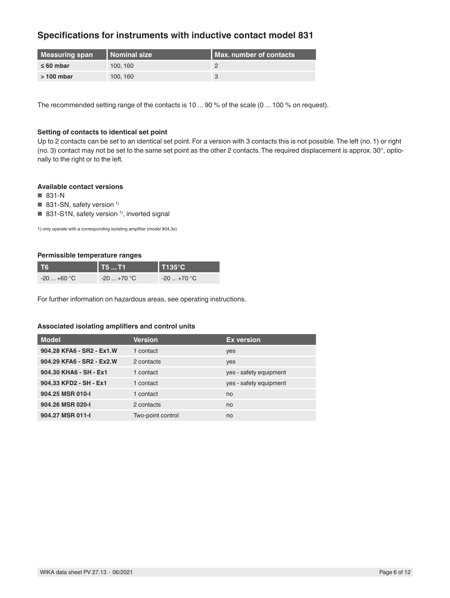### **Specifications for instruments with inductive contact model 831**

| Measuring span | l Nominal size | <b>I Max, number of contacts</b> |
|----------------|----------------|----------------------------------|
| $\leq 60$ mbar | 100.160        |                                  |
| $>100$ mbar    | 100.160        |                                  |

The recommended setting range of the contacts is 10 ... 90 % of the scale (0 ... 100 % on request).

### **Setting of contacts to identical set point**

Up to 2 contacts can be set to an identical set point. For a version with 3 contacts this is not possible. The left (no. 1) or right (no. 3) contact may not be set to the same set point as the other 2 contacts. The required displacement is approx. 30°, optionally to the right or to the left.

#### **Available contact versions**

- 831-N
- $\blacksquare$  831-SN, safety version <sup>1)</sup>
- 831-S1N, safety version<sup>1)</sup>, inverted signal

1) only operate with a corresponding isolating amplifier (model 904.3x)

#### **Permissible temperature ranges**

| <b>T6</b>   | $\vert$ T5  T1       | $\blacksquare$ T135°C $\blacksquare$ |
|-------------|----------------------|--------------------------------------|
| $-20+60$ °C | $-20+70$ °C $^\circ$ | $-20+70$ °C                          |

For further information on hazardous areas, see operating instructions.

#### **Associated isolating amplifiers and control units**

| <b>Model</b>              | <b>Version</b>    | <b>Ex version</b>      |
|---------------------------|-------------------|------------------------|
| 904.28 KFA6 - SR2 - Ex1.W | 1 contact         | yes                    |
| 904.29 KFA6 - SR2 - Ex2.W | 2 contacts        | yes                    |
| 904.30 KHA6 - SH - Ex1    | 1 contact         | yes - safety equipment |
| 904.33 KFD2 - SH - Ex1    | 1 contact         | yes - safety equipment |
| 904.25 MSR 010-I          | 1 contact         | no                     |
| 904.26 MSR 020-I          | 2 contacts        | no                     |
| 904.27 MSR 011-I          | Two-point control | no                     |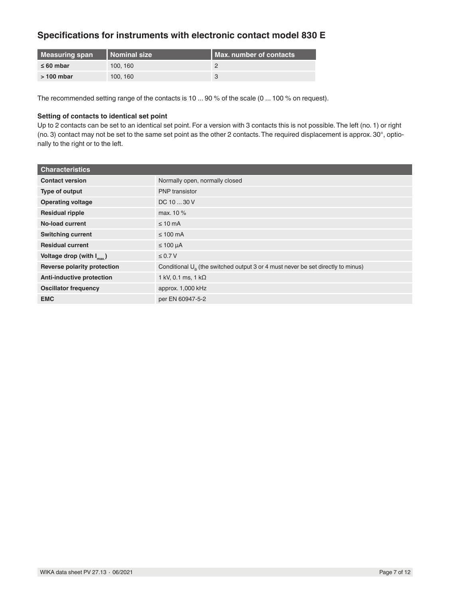## **Specifications for instruments with electronic contact model 830 E**

| Measuring span | I Nominal size | <b>I Max. number of contacts</b> |
|----------------|----------------|----------------------------------|
| $\leq 60$ mbar | 100, 160       |                                  |
| $>100$ mbar    | 100, 160       |                                  |

The recommended setting range of the contacts is 10 ... 90 % of the scale (0 ... 100 % on request).

### **Setting of contacts to identical set point**

Up to 2 contacts can be set to an identical set point. For a version with 3 contacts this is not possible. The left (no. 1) or right (no. 3) contact may not be set to the same set point as the other 2 contacts. The required displacement is approx. 30°, optionally to the right or to the left.

| <b>Characteristics</b>                |                                                                                          |
|---------------------------------------|------------------------------------------------------------------------------------------|
| <b>Contact version</b>                | Normally open, normally closed                                                           |
| Type of output                        | <b>PNP</b> transistor                                                                    |
| <b>Operating voltage</b>              | DC 10  30 V                                                                              |
| <b>Residual ripple</b>                | max. 10 %                                                                                |
| No-load current                       | $\leq 10$ mA                                                                             |
| <b>Switching current</b>              | $\leq 100$ mA                                                                            |
| <b>Residual current</b>               | $\leq 100 \mu A$                                                                         |
| Voltage drop (with $I_{\text{max}}$ ) | $\leq 0.7 V$                                                                             |
| Reverse polarity protection           | Conditional $U_{\rm B}$ (the switched output 3 or 4 must never be set directly to minus) |
| <b>Anti-inductive protection</b>      | 1 kV, 0.1 ms, 1 k $\Omega$                                                               |
| <b>Oscillator frequency</b>           | approx. 1,000 kHz                                                                        |
| <b>EMC</b>                            | per EN 60947-5-2                                                                         |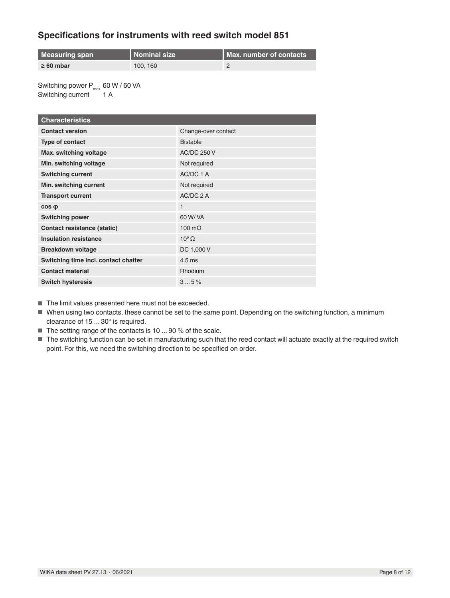## **Specifications for instruments with reed switch model 851**

| Measuring span | <b>Nominal size</b> | Max. number of contacts |
|----------------|---------------------|-------------------------|
| $\geq 60$ mbar | 100.160             |                         |

Switching power  $P_{max}$  60 W / 60 VA Switching current 1 A

| <b>Characteristics</b>               |                     |  |
|--------------------------------------|---------------------|--|
| <b>Contact version</b>               | Change-over contact |  |
| Type of contact                      | <b>Bistable</b>     |  |
| Max. switching voltage               | <b>AC/DC 250 V</b>  |  |
| Min. switching voltage               | Not required        |  |
| <b>Switching current</b>             | AC/DC 1 A           |  |
| Min. switching current               | Not required        |  |
| <b>Transport current</b>             | $AC/DC$ 2 A         |  |
| $cos \phi$                           | $\mathbf{1}$        |  |
| <b>Switching power</b>               | 60 W/ VA            |  |
| <b>Contact resistance (static)</b>   | 100 $m\Omega$       |  |
| <b>Insulation resistance</b>         | $10^9 \Omega$       |  |
| <b>Breakdown voltage</b>             | DC 1,000 V          |  |
| Switching time incl. contact chatter | $4.5 \text{ ms}$    |  |
| <b>Contact material</b>              | Rhodium             |  |
| <b>Switch hysteresis</b>             | 35%                 |  |

■ The limit values presented here must not be exceeded.

- When using two contacts, these cannot be set to the same point. Depending on the switching function, a minimum clearance of 15 ... 30° is required.
- The setting range of the contacts is 10 ... 90 % of the scale.
- The switching function can be set in manufacturing such that the reed contact will actuate exactly at the required switch point. For this, we need the switching direction to be specified on order.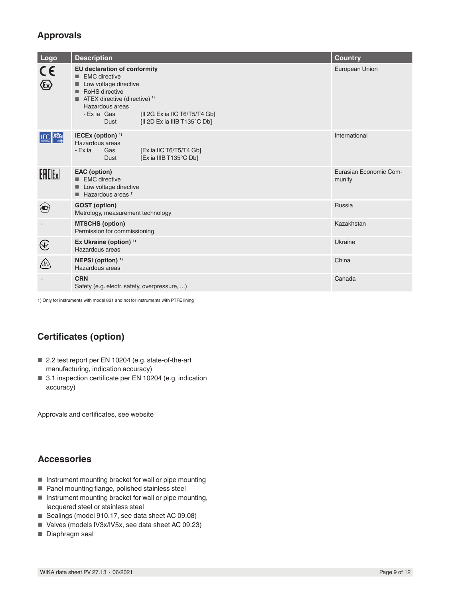# **Approvals**

| Logo                              | <b>Description</b>                                                                                                                                                                                                                                                 | <b>Country</b>                   |
|-----------------------------------|--------------------------------------------------------------------------------------------------------------------------------------------------------------------------------------------------------------------------------------------------------------------|----------------------------------|
| $\tilde{\zeta}$                   | <b>EU declaration of conformity</b><br><b>EMC</b> directive<br>Low voltage directive<br>RoHS directive<br><b>TEX</b> directive (directive) <sup>1)</sup><br>Hazardous areas<br>- Exia Gas<br>[II 2G Ex ia IIC T6/T5/T4 Gb]<br>[II 2D Ex ia IIIB T135°C Db]<br>Dust | European Union                   |
| <b>IEC</b> ECEX                   | IECEx (option) <sup>1)</sup><br>Hazardous areas<br>- Ex ia<br>[Ex ia IIC T6/T5/T4 Gb]<br>Gas<br>[Ex ia IIIB T135°C Db]<br>Dust                                                                                                                                     | International                    |
| $[H$ $[k$ $]$                     | <b>EAC</b> (option)<br>EMC directive<br>Low voltage directive<br>$\blacksquare$ Hazardous areas <sup>1)</sup>                                                                                                                                                      | Eurasian Economic Com-<br>munity |
|                                   | <b>GOST</b> (option)<br>Metrology, measurement technology                                                                                                                                                                                                          | Russia                           |
|                                   | <b>MTSCHS (option)</b><br>Permission for commissioning                                                                                                                                                                                                             | Kazakhstan                       |
| $\bigcircled{\hspace{-0.3pt}}\in$ | Ex Ukraine (option) <sup>1)</sup><br>Hazardous areas                                                                                                                                                                                                               | Ukraine                          |
| $\binom{F}{NEPS}$                 | NEPSI (option) <sup>1)</sup><br>Hazardous areas                                                                                                                                                                                                                    | China                            |
|                                   | <b>CRN</b><br>Safety (e.g. electr. safety, overpressure, )                                                                                                                                                                                                         | Canada                           |

1) Only for instruments with model 831 and not for instruments with PTFE lining

# **Certificates (option)**

- 2.2 test report per EN 10204 (e.g. state-of-the-art manufacturing, indication accuracy)
- 3.1 inspection certificate per EN 10204 (e.g. indication accuracy)

Approvals and certificates, see website

### **Accessories**

- Instrument mounting bracket for wall or pipe mounting
- Panel mounting flange, polished stainless steel
- Instrument mounting bracket for wall or pipe mounting, lacquered steel or stainless steel
- Sealings (model 910.17, see data sheet AC 09.08)
- Valves (models IV3x/IV5x, see data sheet AC 09.23)
- Diaphragm seal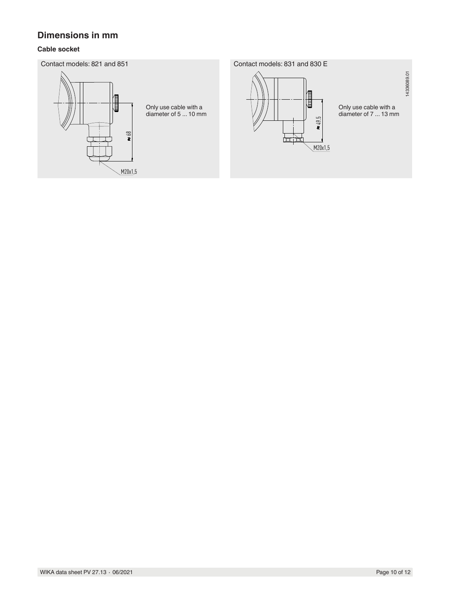### **Dimensions in mm**

### **Cable socket**

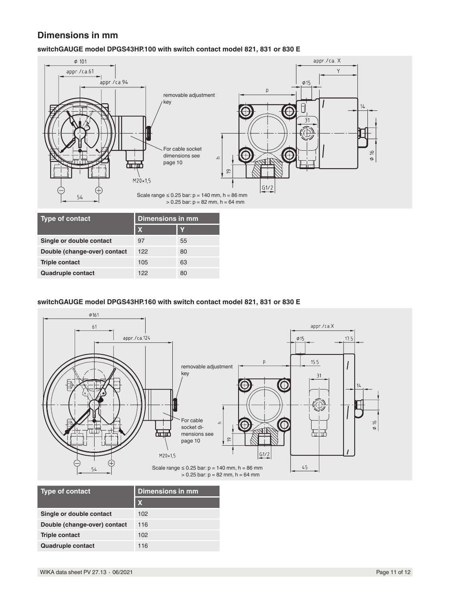## **Dimensions in mm**

### **switchGAUGE model DPGS43HP.100 with switch contact model 821, 831 or 830 E**



| <b>Type of contact</b>       | Dimensions in mm |    |
|------------------------------|------------------|----|
|                              | $\mathbf x$      |    |
| Single or double contact     | 97               | 55 |
| Double (change-over) contact | 122              | 80 |
| <b>Triple contact</b>        | 105              | 63 |
| Quadruple contact            | 122              | 80 |

### **switchGAUGE model DPGS43HP.160 with switch contact model 821, 831 or 830 E**



| <b>Type of contact</b>       | <b>Dimensions in mm</b> |  |
|------------------------------|-------------------------|--|
|                              | $\mathbf x$             |  |
| Single or double contact     | 102                     |  |
| Double (change-over) contact | 116                     |  |
| <b>Triple contact</b>        | 102                     |  |
| <b>Quadruple contact</b>     | 116                     |  |